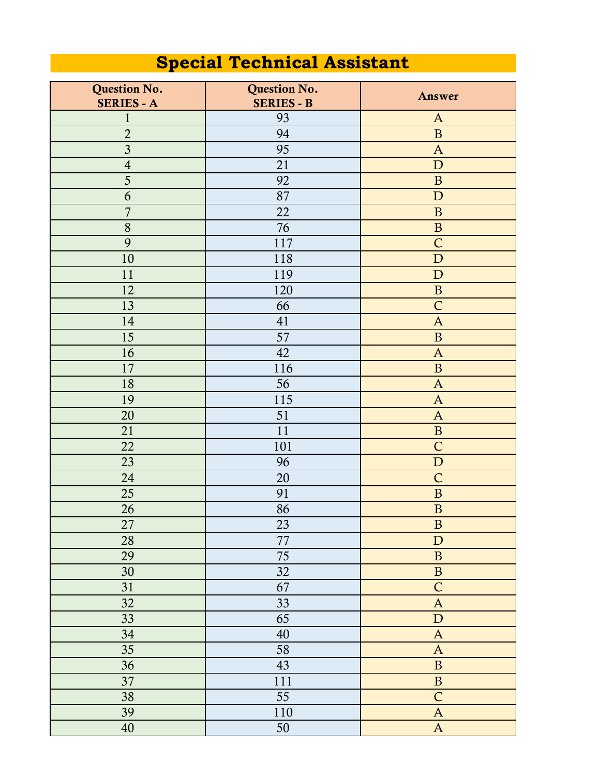## **Special Technical Assistant**

| Question No.      | <b>Question No.</b> | Answer                    |
|-------------------|---------------------|---------------------------|
| <b>SERIES - A</b> | <b>SERIES - B</b>   |                           |
| $\mathbf{1}$      | 93                  | $\mathbf{A}$              |
| $\overline{2}$    | 94                  | $\, {\bf B}$              |
| $\overline{3}$    | 95                  | $\mathbf{A}$              |
| $\overline{4}$    | 21                  | ${\bf D}$                 |
| 5                 | 92                  | $\, {\bf B}$              |
| 6                 | 87                  | $\mathbf D$               |
| $\overline{7}$    | 22                  | $\mathbf B$               |
| $8\,$             | 76                  | $\, {\bf B}$              |
| 9                 | 117                 | $\mathsf{C}$              |
| 10                | 118                 | ${\bf D}$                 |
| 11                | 119                 | ${\bf D}$                 |
| 12                | 120                 | $\, {\bf B}$              |
| 13                | 66                  | $\overline{C}$            |
| $14\,$            | 41                  | $\mathbf{A}$              |
| 15                | 57                  | $\, {\bf B}$              |
| 16                | 42                  | $\mathbf{A}$              |
| 17                | 116                 | $\, {\bf B}$              |
| 18                | 56                  | $\mathbf{A}$              |
| 19                | 115                 | $\mathbf{A}$              |
| 20                | 51                  | $\mathbf{A}$              |
| 21                | 11                  | $\, {\bf B}$              |
| 22                | 101                 | $\mathsf{C}$              |
| 23                | 96                  | ${\bf D}$                 |
| 24                | 20                  | $\mathsf{C}$              |
| 25                | 91                  | $\, {\bf B}$              |
| 26                | 86                  | $\, {\bf B}$              |
| 27                | 23                  | $\mathbf{B}$              |
| 28                | $77\,$              | $\mathbf D$               |
| 29                | $75\,$              | $\, {\bf B}$              |
| 30                | 32                  | $\, {\bf B}$              |
| 31                | 67                  | $\mathsf C$               |
| 32                | 33                  | $\boldsymbol{\mathsf{A}}$ |
| 33                | 65                  | ${\bf D}$                 |
| 34                | 40                  | $\mathbf A$               |
| 35                | 58                  | $\mathbf A$               |
| 36                | 43                  | $\, {\bf B}$              |
| 37                | 111                 | $\, {\bf B}$              |
| 38                | 55                  | $\overline{C}$            |
| 39                | 110                 | $\boldsymbol{\mathsf{A}}$ |
| $40\,$            | 50                  | $\mathbf A$               |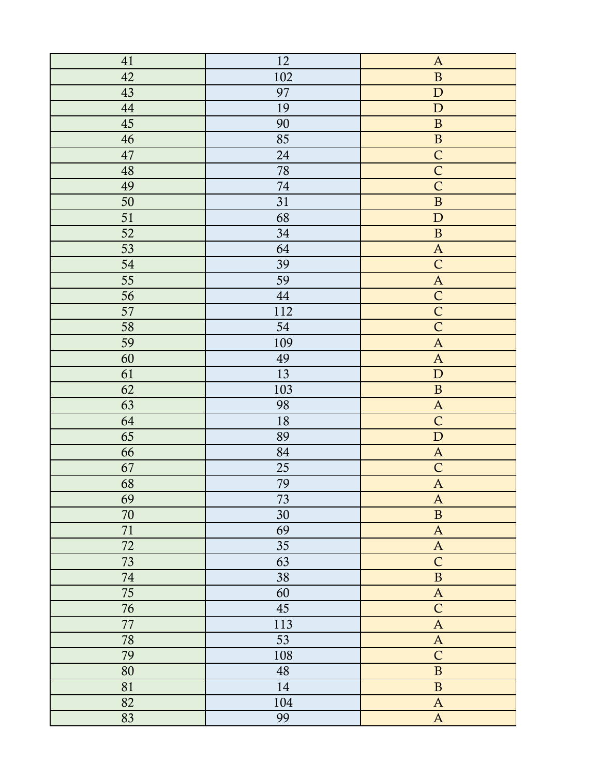| 41          | 12          | $\mathbf{A}$                                                 |
|-------------|-------------|--------------------------------------------------------------|
| 42          | 102         | $\, {\bf B}$                                                 |
| 43          | 97          | $\mathbf D$                                                  |
| $\rm 44$    | 19          | ${\bf D}$                                                    |
| $45\,$      | 90          | $\, {\bf B}$                                                 |
| 46          | 85          | $\, {\bf B}$                                                 |
| $47\,$      | 24          | $\overline{C}$                                               |
| $\sqrt{48}$ | $78\,$      | $\frac{\overline{C}}{\overline{C}}$                          |
| 49          | 74          |                                                              |
| 50          | 31          | $\, {\bf B}$                                                 |
| $51\,$      | 68          | $\mathbf{D}%$                                                |
| 52          | 34          | $\, {\bf B}$                                                 |
| 53          | 64          | $\boldsymbol{\mathsf{A}}$                                    |
| 54          | 39          | $\overline{C}$                                               |
| 55          | 59          | $\boldsymbol{\mathsf{A}}$                                    |
| 56          | 44          | $\overline{C}$                                               |
| 57          | 112         | $\overline{C}$                                               |
| 58          | 54          | $\overline{C}$                                               |
| 59          | 109         | $\mathbf{A}$                                                 |
| 60          | 49          | $\boldsymbol{A}$                                             |
| 61          | 13          | ${\bf D}$                                                    |
| 62          | 103         | $\, {\bf B}$                                                 |
| 63          | 98          | $\mathbf{A}$                                                 |
| 64          | 18          | $\overline{C}$                                               |
| 65          | 89          | $\label{eq:1} \mathbf{D}% =\mathbf{D}+\mathbf{D}+\mathbf{D}$ |
| 66          | 84          | $\boldsymbol{\mathsf{A}}$                                    |
| 67          | 25          | $\overline{C}$                                               |
| 68          | 79          | $\mathbf{A}$                                                 |
| 69          | 73          | $\boldsymbol{\mathsf{A}}$                                    |
| $70\,$      | $30\,$      | $\, {\bf B}$                                                 |
| 71          | 69          | $\mathbf{A}$                                                 |
| 72          | 35          | $\boldsymbol{A}$                                             |
| 73          | 63          | $\mathsf{C}$                                                 |
| 74          | 38          | $\, {\bf B}$                                                 |
| 75          | 60          | $\mathbf{A}$                                                 |
| 76          | $45\,$      | $\mathsf{C}$                                                 |
| $77\,$      | 113         | $\mathbf A$                                                  |
| 78          | 53          | $\mathbf{A}$                                                 |
| 79          | 108         | $\mathsf{C}$                                                 |
| 80          | $\sqrt{48}$ | $\, {\bf B}$                                                 |
| 81          | 14          | $\, {\bf B}$                                                 |
| 82          | 104         | $\boldsymbol{A}$                                             |
| 83          | 99          | $\mathbf A$                                                  |